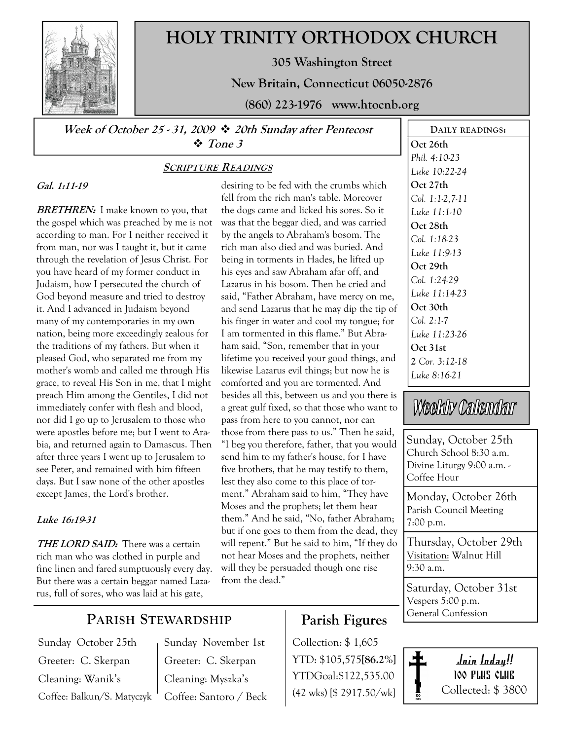

# HOLY TRINITY ORTHODOX CHURCH

305 Washington Street

New Britain, Connecticut 06050-2876

(860) 223-1976 www.htocnb.org

Week of October 25 - 31, 2009  $\div$  20th Sunday after Pentecost  $\div$  Tone 3

### Gal. 1:11-19

**BRETHREN:** I make known to you, that the gospel which was preached by me is not according to man. For I neither received it from man, nor was I taught it, but it came through the revelation of Jesus Christ. For you have heard of my former conduct in Judaism, how I persecuted the church of God beyond measure and tried to destroy it. And I advanced in Judaism beyond many of my contemporaries in my own nation, being more exceedingly zealous for the traditions of my fathers. But when it pleased God, who separated me from my mother's womb and called me through His grace, to reveal His Son in me, that I might preach Him among the Gentiles, I did not immediately confer with flesh and blood, nor did I go up to Jerusalem to those who were apostles before me; but I went to Arabia, and returned again to Damascus. Then after three years I went up to Jerusalem to see Peter, and remained with him fifteen days. But I saw none of the other apostles except James, the Lord's brother.

### Luke 16:19-31

THE LORD SAID: There was a certain rich man who was clothed in purple and fine linen and fared sumptuously every day. But there was a certain beggar named Lazarus, full of sores, who was laid at his gate,

## SCRIPTURE READINGS

desiring to be fed with the crumbs which fell from the rich man's table. Moreover the dogs came and licked his sores. So it was that the beggar died, and was carried by the angels to Abraham's bosom. The rich man also died and was buried. And being in torments in Hades, he lifted up his eyes and saw Abraham afar off, and Lazarus in his bosom. Then he cried and said, "Father Abraham, have mercy on me, and send Lazarus that he may dip the tip of his finger in water and cool my tongue; for I am tormented in this flame." But Abraham said, "Son, remember that in your lifetime you received your good things, and likewise Lazarus evil things; but now he is comforted and you are tormented. And besides all this, between us and you there is a great gulf fixed, so that those who want to pass from here to you cannot, nor can those from there pass to us." Then he said, "I beg you therefore, father, that you would send him to my father's house, for I have five brothers, that he may testify to them, lest they also come to this place of torment." Abraham said to him, "They have Moses and the prophets; let them hear them." And he said, "No, father Abraham; but if one goes to them from the dead, they will repent." But he said to him, "If they do not hear Moses and the prophets, neither will they be persuaded though one rise from the dead."

## Oct 26th Phil. 4:10-23 Luke 10:22-24 Oct 27th Col. 1:1-2,7-11 Luke 11:1-10 Oct 28th Col. 1:18-23 Luke 11:9-13 Oct 29th Col. 1:24-29 Luke 11:14-23 Oct 30th Col. 2:1-7 Luke 11:23-26 Oct 31st 2 Cor. 3:12-18 Luke 8:16-21

DAILY READINGS:

# Weekly Calendar

Sunday, October 25th Church School 8:30 a.m. Divine Liturgy 9:00 a.m. - Coffee Hour

Monday, October 26th Parish Council Meeting 7:00 p.m.

Thursday, October 29th Visitation: Walnut Hill 9:30 a.m.

Saturday, October 31st Vespers 5:00 p.m. General Confession

# PARISH STEWARDSHIP

Sunday October 25th Greeter: C. Skerpan Cleaning: Wanik's Coffee: Balkun/S. Matyczyk Sunday November 1st Greeter: C. Skerpan Cleaning: Myszka's Coffee: Santoro / Beck

# Parish Figures

Collection: \$ 1,605 YTD: \$105,575[86.2%] YTDGoal:\$122,535.00 (42 wks) [\$ 2917.50/wk]